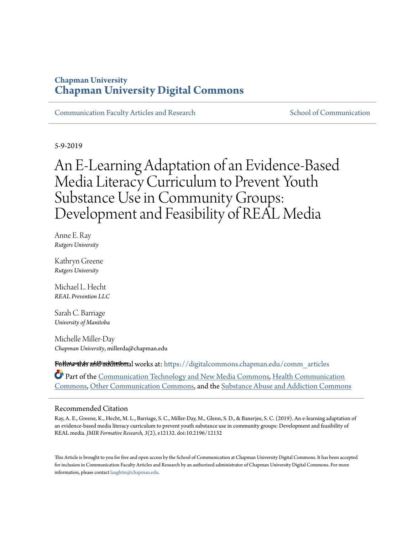## **Chapman University [Chapman University Digital Commons](https://digitalcommons.chapman.edu?utm_source=digitalcommons.chapman.edu%2Fcomm_articles%2F60&utm_medium=PDF&utm_campaign=PDFCoverPages)**

[Communication Faculty Articles and Research](https://digitalcommons.chapman.edu/comm_articles?utm_source=digitalcommons.chapman.edu%2Fcomm_articles%2F60&utm_medium=PDF&utm_campaign=PDFCoverPages) [School of Communication](https://digitalcommons.chapman.edu/communication?utm_source=digitalcommons.chapman.edu%2Fcomm_articles%2F60&utm_medium=PDF&utm_campaign=PDFCoverPages)

5-9-2019

# An E-Learning Adaptation of an Evidence-Based Media Literacy Curriculum to Prevent Youth Substance Use in Community Groups: Development and Feasibility of REAL Media

Anne E. Ray *Rutgers University*

Kathryn Greene *Rutgers University*

Michael L. Hecht *REAL Prevention LLC*

Sarah C. Barriage *University of Manitoba*

Michelle Miller-Day *Chapman University*, millerda@chapman.edu

**Follow this addiadditional** works at: [https://digitalcommons.chapman.edu/comm\\_articles](https://digitalcommons.chapman.edu/comm_articles?utm_source=digitalcommons.chapman.edu%2Fcomm_articles%2F60&utm_medium=PDF&utm_campaign=PDFCoverPages)

Part of the [Communication Technology and New Media Commons](http://network.bepress.com/hgg/discipline/327?utm_source=digitalcommons.chapman.edu%2Fcomm_articles%2F60&utm_medium=PDF&utm_campaign=PDFCoverPages), [Health Communication](http://network.bepress.com/hgg/discipline/330?utm_source=digitalcommons.chapman.edu%2Fcomm_articles%2F60&utm_medium=PDF&utm_campaign=PDFCoverPages) [Commons,](http://network.bepress.com/hgg/discipline/330?utm_source=digitalcommons.chapman.edu%2Fcomm_articles%2F60&utm_medium=PDF&utm_campaign=PDFCoverPages) [Other Communication Commons,](http://network.bepress.com/hgg/discipline/339?utm_source=digitalcommons.chapman.edu%2Fcomm_articles%2F60&utm_medium=PDF&utm_campaign=PDFCoverPages) and the [Substance Abuse and Addiction Commons](http://network.bepress.com/hgg/discipline/710?utm_source=digitalcommons.chapman.edu%2Fcomm_articles%2F60&utm_medium=PDF&utm_campaign=PDFCoverPages)

#### Recommended Citation

Ray, A. E., Greene, K., Hecht, M. L., Barriage, S. C., Miller-Day, M., Glenn, S. D., & Banerjee, S. C. (2019). An e-learning adaptation of an evidence-based media literacy curriculum to prevent youth substance use in community groups: Development and feasibility of REAL media. *JMIR Formative Research, 3*(2), e12132. doi:10.2196/12132

This Article is brought to you for free and open access by the School of Communication at Chapman University Digital Commons. It has been accepted for inclusion in Communication Faculty Articles and Research by an authorized administrator of Chapman University Digital Commons. For more information, please contact [laughtin@chapman.edu](mailto:laughtin@chapman.edu).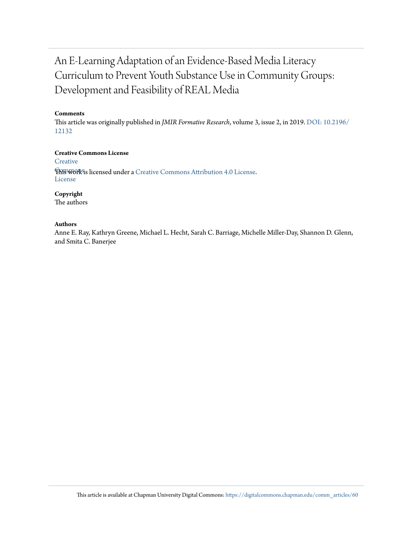## An E-Learning Adaptation of an Evidence-Based Media Literacy Curriculum to Prevent Youth Substance Use in Community Groups: Development and Feasibility of REAL Media

#### **Comments**

This article was originally published in *JMIR Formative Research*, volume 3, issue 2, in 2019. [DOI: 10.2196/](https://doi.org/10.2196/12132) [12132](https://doi.org/10.2196/12132)

#### **Creative Commons License**

**[Creative](https://creativecommons.org/licenses/by/4.0/) This work is licensed under a** [Creative Commons Attribution 4.0 License.](https://creativecommons.org/licenses/by/4.0/) License

**Copyright**

The authors

#### **Authors**

Anne E. Ray, Kathryn Greene, Michael L. Hecht, Sarah C. Barriage, Michelle Miller-Day, Shannon D. Glenn, and Smita C. Banerjee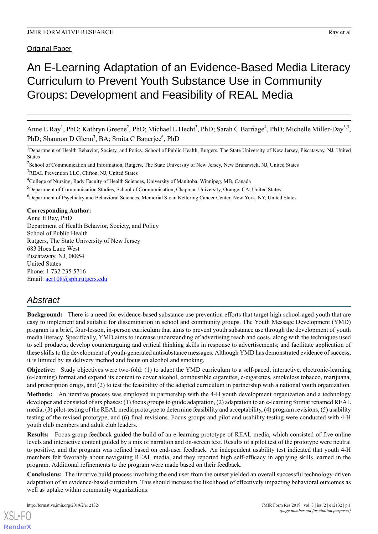#### Original Paper

## An E-Learning Adaptation of an Evidence-Based Media Literacy Curriculum to Prevent Youth Substance Use in Community Groups: Development and Feasibility of REAL Media

Anne E Ray<sup>1</sup>, PhD; Kathryn Greene<sup>2</sup>, PhD; Michael L Hecht<sup>3</sup>, PhD; Sarah C Barriage<sup>4</sup>, PhD; Michelle Miller-Day<sup>3,5</sup>, PhD; Shannon D Glenn<sup>3</sup>, BA; Smita C Banerjee<sup>6</sup>, PhD

<sup>1</sup>Department of Health Behavior, Society, and Policy, School of Public Health, Rutgers, The State University of New Jersey, Piscataway, NJ, United States

<sup>2</sup>School of Communication and Information, Rutgers, The State University of New Jersey, New Brunswick, NJ, United States <sup>3</sup>REAL Prevention LLC, Clifton, NJ, United States

<sup>4</sup>College of Nursing, Rady Faculty of Health Sciences, University of Manitoba, Winnipeg, MB, Canada

<sup>5</sup>Department of Communication Studies, School of Communication, Chapman University, Orange, CA, United States

<sup>6</sup>Department of Psychiatry and Behavioral Sciences, Memorial Sloan Kettering Cancer Center, New York, NY, United States

**Corresponding Author:**

Anne E Ray, PhD Department of Health Behavior, Society, and Policy School of Public Health Rutgers, The State University of New Jersey 683 Hoes Lane West Piscataway, NJ, 08854 United States Phone: 1 732 235 5716 Email: [aer108@sph.rutgers.edu](mailto:aer108@sph.rutgers.edu)

## *Abstract*

**Background:** There is a need for evidence-based substance use prevention efforts that target high school-aged youth that are easy to implement and suitable for dissemination in school and community groups. The Youth Message Development (YMD) program is a brief, four-lesson, in-person curriculum that aims to prevent youth substance use through the development of youth media literacy. Specifically, YMD aims to increase understanding of advertising reach and costs, along with the techniques used to sell products; develop counterarguing and critical thinking skills in response to advertisements; and facilitate application of these skills to the development of youth-generated antisubstance messages. Although YMD has demonstrated evidence of success, it is limited by its delivery method and focus on alcohol and smoking.

**Objective:** Study objectives were two-fold: (1) to adapt the YMD curriculum to a self-paced, interactive, electronic-learning (e-learning) format and expand its content to cover alcohol, combustible cigarettes, e-cigarettes, smokeless tobacco, marijuana, and prescription drugs, and (2) to test the feasibility of the adapted curriculum in partnership with a national youth organization.

**Methods:** An iterative process was employed in partnership with the 4-H youth development organization and a technology developer and consisted of six phases: (1) focus groups to guide adaptation, (2) adaptation to an e-learning format renamed REAL media, (3) pilot-testing of the REAL media prototype to determine feasibility and acceptability, (4) program revisions, (5) usability testing of the revised prototype, and (6) final revisions. Focus groups and pilot and usability testing were conducted with 4-H youth club members and adult club leaders.

**Results:** Focus group feedback guided the build of an e-learning prototype of REAL media, which consisted of five online levels and interactive content guided by a mix of narration and on-screen text. Results of a pilot test of the prototype were neutral to positive, and the program was refined based on end-user feedback. An independent usability test indicated that youth 4-H members felt favorably about navigating REAL media, and they reported high self-efficacy in applying skills learned in the program. Additional refinements to the program were made based on their feedback.

**Conclusions:** The iterative build process involving the end user from the outset yielded an overall successful technology-driven adaptation of an evidence-based curriculum. This should increase the likelihood of effectively impacting behavioral outcomes as well as uptake within community organizations.

[XSL](http://www.w3.org/Style/XSL)•FO **[RenderX](http://www.renderx.com/)**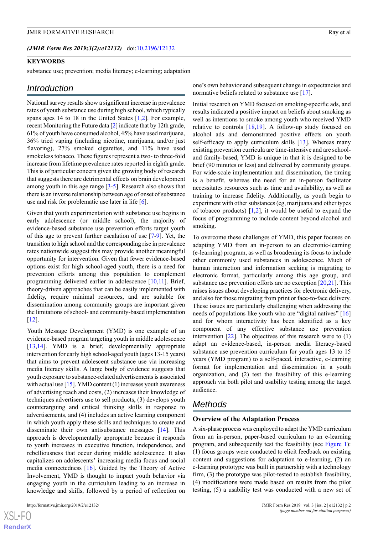#### *(JMIR Form Res 2019;3(2):e12132)* doi: $10.2196/12132$

#### **KEYWORDS**

substance use; prevention; media literacy; e-learning; adaptation

#### *Introduction*

National survey results show a significant increase in prevalence rates of youth substance use during high school, which typically spans ages 14 to 18 in the United States [\[1](#page-11-0),[2\]](#page-11-1). For example, recent Monitoring the Future data [\[2](#page-11-1)] indicate that by 12th grade, 61% of youth have consumed alcohol, 45% have used marijuana, 36% tried vaping (including nicotine, marijuana, and/or just flavoring), 27% smoked cigarettes, and 11% have used smokeless tobacco. These figures represent a two- to three-fold increase from lifetime prevalence rates reported in eighth grade. This is of particular concern given the growing body of research that suggests there are detrimental effects on brain development among youth in this age range [[3](#page-11-2)-[5\]](#page-11-3). Research also shows that there is an inverse relationship between age of onset of substance use and risk for problematic use later in life [[6\]](#page-11-4).

Given that youth experimentation with substance use begins in early adolescence (or middle school), the majority of evidence-based substance use prevention efforts target youth of this age to prevent further escalation of use [[7](#page-11-5)[-9](#page-11-6)]. Yet, the transition to high school and the corresponding rise in prevalence rates nationwide suggest this may provide another meaningful opportunity for intervention. Given that fewer evidence-based options exist for high school-aged youth, there is a need for prevention efforts among this population to complement programming delivered earlier in adolescence [\[10](#page-11-7),[11](#page-11-8)]. Brief, theory-driven approaches that can be easily implemented with fidelity, require minimal resources, and are suitable for dissemination among community groups are important given the limitations of school- and community-based implementation  $[12]$  $[12]$ .

Youth Message Development (YMD) is one example of an evidence-based program targeting youth in middle adolescence [[13](#page-11-10)[,14](#page-11-11)]. YMD is a brief, developmentally appropriate intervention for early high school-aged youth (ages 13-15 years) that aims to prevent adolescent substance use via increasing media literacy skills. A large body of evidence suggests that youth exposure to substance-related advertisements is associated with actual use  $[15]$  $[15]$  $[15]$ . YMD content (1) increases youth awareness of advertising reach and costs, (2) increases their knowledge of techniques advertisers use to sell products, (3) develops youth counterarguing and critical thinking skills in response to advertisements, and (4) includes an active learning component in which youth apply these skills and techniques to create and disseminate their own antisubstance messages [[14\]](#page-11-11). This approach is developmentally appropriate because it responds to youth increases in executive function, independence, and rebelliousness that occur during middle adolescence. It also capitalizes on adolescents' increasing media focus and social media connectedness [\[16](#page-11-13)]. Guided by the Theory of Active Involvement, YMD is thought to impact youth behavior via engaging youth in the curriculum leading to an increase in knowledge and skills, followed by a period of reflection on

one's own behavior and subsequent change in expectancies and normative beliefs related to substance use [\[17](#page-11-14)].

Initial research on YMD focused on smoking-specific ads, and results indicated a positive impact on beliefs about smoking as well as intentions to smoke among youth who received YMD relative to controls  $[18,19]$  $[18,19]$  $[18,19]$ . A follow-up study focused on alcohol ads and demonstrated positive effects on youth self-efficacy to apply curriculum skills [[13\]](#page-11-10). Whereas many existing prevention curricula are time-intensive and are schooland family-based, YMD is unique in that it is designed to be brief (90 minutes or less) and delivered by community groups. For wide-scale implementation and dissemination, the timing is a benefit, whereas the need for an in-person facilitator necessitates resources such as time and availability, as well as training to increase fidelity. Additionally, as youth begin to experiment with other substances (eg, marijuana and other types of tobacco products)  $[1,2]$  $[1,2]$  $[1,2]$ , it would be useful to expand the focus of programming to include content beyond alcohol and smoking.

To overcome these challenges of YMD, this paper focuses on adapting YMD from an in-person to an electronic-learning (e-learning) program, as well as broadening its focus to include other commonly used substances in adolescence. Much of human interaction and information seeking is migrating to electronic format, particularly among this age group, and substance use prevention efforts are no exception  $[20,21]$  $[20,21]$  $[20,21]$ . This raises issues about developing practices for electronic delivery, and also for those migrating from print or face-to-face delivery. These issues are particularly challenging when addressing the needs of populations like youth who are "digital natives" [\[16](#page-11-13)] and for whom interactivity has been identified as a key component of any effective substance use prevention intervention  $[22]$  $[22]$ . The objectives of this research were to  $(1)$ adapt an evidence-based, in-person media literacy-based substance use prevention curriculum for youth ages 13 to 15 years (YMD program) to a self-paced, interactive, e-learning format for implementation and dissemination in a youth organization, and (2) test the feasibility of this e-learning approach via both pilot and usability testing among the target audience.

#### *Methods*

#### **Overview of the Adaptation Process**

A six-phase process was employed to adapt the YMD curriculum from an in-person, paper-based curriculum to an e-learning program, and subsequently test the feasibility (see [Figure 1\)](#page-4-0): (1) focus groups were conducted to elicit feedback on existing content and suggestions for adaptation to e-learning, (2) an e-learning prototype was built in partnership with a technology firm, (3) the prototype was pilot-tested to establish feasibility, (4) modifications were made based on results from the pilot testing, (5) a usability test was conducted with a new set of

 $XS$  $\cdot$ FC **[RenderX](http://www.renderx.com/)**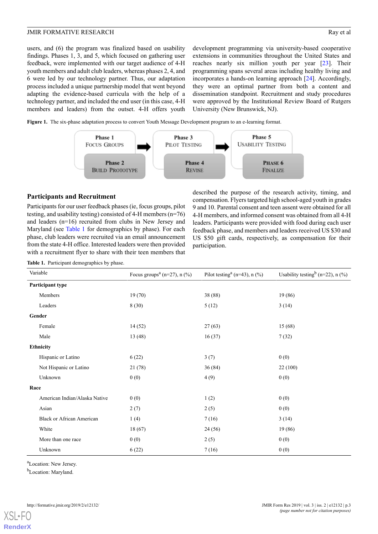users, and (6) the program was finalized based on usability findings. Phases 1, 3, and 5, which focused on gathering user feedback, were implemented with our target audience of 4-H youth members and adult club leaders, whereas phases 2, 4, and 6 were led by our technology partner. Thus, our adaptation process included a unique partnership model that went beyond adapting the evidence-based curricula with the help of a technology partner, and included the end user (in this case, 4-H members and leaders) from the outset. 4-H offers youth development programming via university-based cooperative extensions in communities throughout the United States and reaches nearly six million youth per year [[23\]](#page-11-20). Their programming spans several areas including healthy living and incorporates a hands-on learning approach [\[24](#page-12-0)]. Accordingly, they were an optimal partner from both a content and dissemination standpoint. Recruitment and study procedures were approved by the Institutional Review Board of Rutgers University (New Brunswick, NJ).

<span id="page-4-0"></span>**Figure 1.** The six-phase adaptation process to convert Youth Message Development program to an e-learning format.



#### **Participants and Recruitment**

Participants for our user feedback phases (ie, focus groups, pilot testing, and usability testing) consisted of 4-H members (n=76) and leaders (n=16) recruited from clubs in New Jersey and Maryland (see [Table 1](#page-4-1) for demographics by phase). For each phase, club leaders were recruited via an email announcement from the state 4-H office. Interested leaders were then provided with a recruitment flyer to share with their teen members that described the purpose of the research activity, timing, and compensation. Flyers targeted high school-aged youth in grades 9 and 10. Parental consent and teen assent were obtained for all 4-H members, and informed consent was obtained from all 4-H leaders. Participants were provided with food during each user feedback phase, and members and leaders received US \$30 and US \$50 gift cards, respectively, as compensation for their participation.

<span id="page-4-1"></span>**Table 1.** Participant demographics by phase.

| Variable                         | Focus groups <sup><math>a</math></sup> (n=27), n (%) | Pilot testing <sup>a</sup> (n=43), n $(\% )$ | Usability testing $(n=22)$ , n (%) |  |
|----------------------------------|------------------------------------------------------|----------------------------------------------|------------------------------------|--|
| Participant type                 |                                                      |                                              |                                    |  |
| Members                          | 19(70)                                               | 38 (88)                                      | 19 (86)                            |  |
| Leaders                          | 8(30)                                                | 5(12)                                        | 3(14)                              |  |
| Gender                           |                                                      |                                              |                                    |  |
| Female                           | 14(52)                                               | 27(63)                                       | 15(68)                             |  |
| Male                             | 13(48)                                               | 16(37)                                       | 7(32)                              |  |
| <b>Ethnicity</b>                 |                                                      |                                              |                                    |  |
| Hispanic or Latino               | 6(22)                                                | 3(7)                                         | 0(0)                               |  |
| Not Hispanic or Latino           | 21(78)                                               | 36(84)                                       | 22(100)                            |  |
| Unknown                          | 0(0)                                                 | 4(9)                                         | 0(0)                               |  |
| Race                             |                                                      |                                              |                                    |  |
| American Indian/Alaska Native    | 0(0)                                                 | 1(2)                                         | 0(0)                               |  |
| Asian                            | 2(7)                                                 | 2(5)                                         | 0(0)                               |  |
| <b>Black or African American</b> | 1(4)                                                 | 7(16)                                        | 3(14)                              |  |
| White                            | 18(67)                                               | 24(56)                                       | 19 (86)                            |  |
| More than one race               | 0(0)                                                 | 2(5)                                         | 0(0)                               |  |
| Unknown                          | 6(22)                                                | 7(16)                                        | 0(0)                               |  |

<sup>a</sup>Location: New Jersey.

<sup>b</sup>Location: Maryland.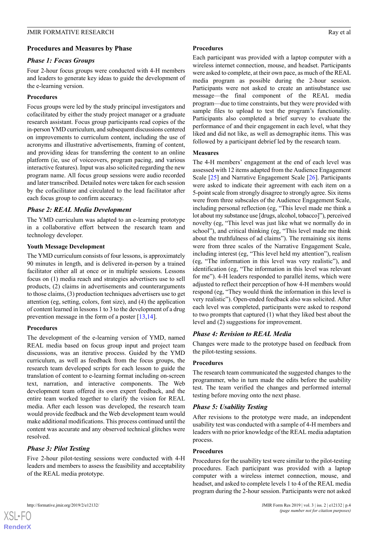#### JMIR FORMATIVE RESEARCH **Ray et al.** Ray et al.

#### **Procedures and Measures by Phase**

#### *Phase 1: Focus Groups*

Four 2-hour focus groups were conducted with 4-H members and leaders to generate key ideas to guide the development of the e-learning version.

#### **Procedures**

Focus groups were led by the study principal investigators and cofacilitated by either the study project manager or a graduate research assistant. Focus group participants read copies of the in-person YMD curriculum, and subsequent discussions centered on improvements to curriculum content, including the use of acronyms and illustrative advertisements, framing of content, and providing ideas for transferring the content to an online platform (ie, use of voiceovers, program pacing, and various interactive features). Input was also solicited regarding the new program name. All focus group sessions were audio recorded and later transcribed. Detailed notes were taken for each session by the cofacilitator and circulated to the lead facilitator after each focus group to confirm accuracy.

#### *Phase 2: REAL Media Development*

The YMD curriculum was adapted to an e-learning prototype in a collaborative effort between the research team and technology developer.

#### **Youth Message Development**

The YMD curriculum consists of four lessons, is approximately 90 minutes in length, and is delivered in-person by a trained facilitator either all at once or in multiple sessions. Lessons focus on (1) media reach and strategies advertisers use to sell products, (2) claims in advertisements and counterarguments to those claims, (3) production techniques advertisers use to get attention (eg, setting, colors, font size), and (4) the application of content learned in lessons 1 to 3 to the development of a drug prevention message in the form of a poster [\[13](#page-11-10),[14\]](#page-11-11).

#### **Procedures**

The development of the e-learning version of YMD, named REAL media based on focus group input and project team discussions, was an iterative process. Guided by the YMD curriculum, as well as feedback from the focus groups, the research team developed scripts for each lesson to guide the translation of content to e-learning format including on-screen text, narration, and interactive components. The Web development team offered its own expert feedback, and the entire team worked together to clarify the vision for REAL media. After each lesson was developed, the research team would provide feedback and the Web development team would make additional modifications. This process continued until the content was accurate and any observed technical glitches were resolved.

#### *Phase 3: Pilot Testing*

Five 2-hour pilot-testing sessions were conducted with 4-H leaders and members to assess the feasibility and acceptability of the REAL media prototype.

#### **Procedures**

Each participant was provided with a laptop computer with a wireless internet connection, mouse, and headset. Participants were asked to complete, at their own pace, as much of the REAL media program as possible during the 2-hour session. Participants were not asked to create an antisubstance use message—the final component of the REAL media program—due to time constraints, but they were provided with sample files to upload to test the program's functionality. Participants also completed a brief survey to evaluate the performance of and their engagement in each level, what they liked and did not like, as well as demographic items. This was followed by a participant debrief led by the research team.

#### **Measures**

The 4-H members' engagement at the end of each level was assessed with 12 items adapted from the Audience Engagement Scale [[25\]](#page-12-1) and Narrative Engagement Scale [[26\]](#page-12-2). Participants were asked to indicate their agreement with each item on a 5-point scale from strongly disagree to strongly agree. Six items were from three subscales of the Audience Engagement Scale, including personal reflection (eg, "This level made me think a lot about my substance use [drugs, alcohol, tobacco]"), perceived novelty (eg, "This level was just like what we normally do in school"), and critical thinking (eg, "This level made me think about the truthfulness of ad claims"). The remaining six items were from three scales of the Narrative Engagement Scale, including interest (eg, "This level held my attention"), realism (eg, "The information in this level was very realistic"), and identification (eg, "The information in this level was relevant for me"). 4-H leaders responded to parallel items, which were adjusted to reflect their perception of how 4-H members would respond (eg, "They would think the information in this level is very realistic"). Open-ended feedback also was solicited. After each level was completed, participants were asked to respond to two prompts that captured (1) what they liked best about the level and (2) suggestions for improvement.

#### *Phase 4: Revision to REAL Media*

Changes were made to the prototype based on feedback from the pilot-testing sessions.

#### **Procedures**

The research team communicated the suggested changes to the programmer, who in turn made the edits before the usability test. The team verified the changes and performed internal testing before moving onto the next phase.

#### *Phase 5: Usability Testing*

After revisions to the prototype were made, an independent usability test was conducted with a sample of 4-H members and leaders with no prior knowledge of the REAL media adaptation process.

#### **Procedures**

Procedures for the usability test were similar to the pilot-testing procedures. Each participant was provided with a laptop computer with a wireless internet connection, mouse, and headset, and asked to complete levels 1 to 4 of the REAL media program during the 2-hour session. Participants were not asked

 $XS$  $\cdot$ FC **[RenderX](http://www.renderx.com/)**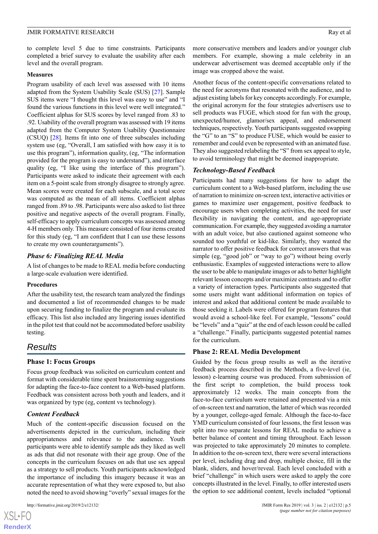#### JMIR FORMATIVE RESEARCH RAY EXAMPLE 2001 A 2002 FORMATIVE RESEARCH

to complete level 5 due to time constraints. Participants completed a brief survey to evaluate the usability after each level and the overall program.

#### **Measures**

Program usability of each level was assessed with 10 items adapted from the System Usability Scale (SUS) [[27\]](#page-12-3). Sample SUS items were "I thought this level was easy to use" and "I found the various functions in this level were well integrated." Coefficient alphas for SUS scores by level ranged from .83 to .92. Usability of the overall program was assessed with 19 items adapted from the Computer System Usability Questionnaire (CSUQ) [[28\]](#page-12-4). Items fit into one of three subscales including system use (eg, "Overall, I am satisfied with how easy it is to use this program"), information quality, (eg, "The information provided for the program is easy to understand"), and interface quality (eg, "I like using the interface of this program"). Participants were asked to indicate their agreement with each item on a 5-point scale from strongly disagree to strongly agree. Mean scores were created for each subscale, and a total score was computed as the mean of all items. Coefficient alphas ranged from .89 to .98. Participants were also asked to list three positive and negative aspects of the overall program. Finally, self-efficacy to apply curriculum concepts was assessed among 4-H members only. This measure consisted of four items created for this study (eg, "I am confident that I can use these lessons to create my own counterarguments").

#### *Phase 6: Finalizing REAL Media*

A list of changes to be made to REAL media before conducting a large-scale evaluation were identified.

#### **Procedures**

After the usability test, the research team analyzed the findings and documented a list of recommended changes to be made upon securing funding to finalize the program and evaluate its efficacy. This list also included any lingering issues identified in the pilot test that could not be accommodated before usability testing.

### *Results*

#### **Phase 1: Focus Groups**

Focus group feedback was solicited on curriculum content and format with considerable time spent brainstorming suggestions for adapting the face-to-face content to a Web-based platform. Feedback was consistent across both youth and leaders, and it was organized by type (eg, content vs technology).

#### *Content Feedback*

Much of the content-specific discussion focused on the advertisements depicted in the curriculum, including their appropriateness and relevance to the audience. Youth participants were able to identify sample ads they liked as well as ads that did not resonate with their age group. One of the concepts in the curriculum focuses on ads that use sex appeal as a strategy to sell products. Youth participants acknowledged the importance of including this imagery because it was an accurate representation of what they were exposed to, but also noted the need to avoid showing "overly" sexual images for the

more conservative members and leaders and/or younger club members. For example, showing a male celebrity in an underwear advertisement was deemed acceptable only if the image was cropped above the waist.

Another focus of the content-specific conversations related to the need for acronyms that resonated with the audience, and to adjust existing labels for key concepts accordingly. For example, the original acronym for the four strategies advertisers use to sell products was FUGE, which stood for fun with the group, unexpected/humor, glamor/sex appeal, and endorsement techniques, respectively. Youth participants suggested swapping the "G" to an "S" to produce FUSE, which would be easier to remember and could even be represented with an animated fuse. They also suggested relabeling the "S" from sex appeal to style, to avoid terminology that might be deemed inappropriate.

#### *Technology-Based Feedback*

Participants had many suggestions for how to adapt the curriculum content to a Web-based platform, including the use of narration to minimize on-screen text, interactive activities or games to maximize user engagement, positive feedback to encourage users when completing activities, the need for user flexibility in navigating the content, and age-appropriate communication. For example, they suggested avoiding a narrator with an adult voice, but also cautioned against someone who sounded too youthful or kid-like. Similarly, they wanted the narrator to offer positive feedback for correct answers that was simple (eg, "good job" or "way to go") without being overly enthusiastic. Examples of suggested interactions were to allow the user to be able to manipulate images or ads to better highlight relevant lesson concepts and/or maximize contrasts and to offer a variety of interaction types. Participants also suggested that some users might want additional information on topics of interest and asked that additional content be made available to those seeking it. Labels were offered for program features that would avoid a school-like feel. For example, "lessons" could be "levels" and a "quiz" at the end of each lesson could be called a "challenge." Finally, participants suggested potential names for the curriculum.

#### **Phase 2: REAL Media Development**

Guided by the focus group results as well as the iterative feedback process described in the Methods, a five-level (ie, lesson) e-learning course was produced. From submission of the first script to completion, the build process took approximately 12 weeks. The main concepts from the face-to-face curriculum were retained and presented via a mix of on-screen text and narration, the latter of which was recorded by a younger, college-aged female. Although the face-to-face YMD curriculum consisted of four lessons, the first lesson was split into two separate lessons for REAL media to achieve a better balance of content and timing throughout. Each lesson was projected to take approximately 20 minutes to complete. In addition to the on-screen text, there were several interactions per level, including drag and drop, multiple choice, fill in the blank, sliders, and hover/reveal. Each level concluded with a brief "challenge" in which users were asked to apply the core concepts illustrated in the level. Finally, to offer interested users the option to see additional content, levels included "optional

 $XSJ \cdot F$ **[RenderX](http://www.renderx.com/)**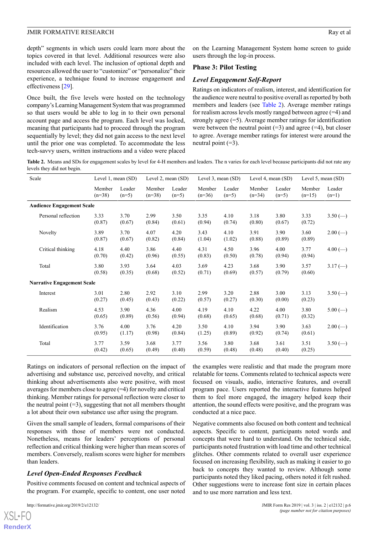depth" segments in which users could learn more about the topics covered in that level. Additional resources were also included with each level. The inclusion of optional depth and resources allowed the user to "customize" or "personalize" their experience, a technique found to increase engagement and effectiveness [\[29](#page-12-5)].

Once built, the five levels were hosted on the technology company's Learning Management System that was programmed so that users would be able to log in to their own personal account page and access the program. Each level was locked, meaning that participants had to proceed through the program sequentially by level; they did not gain access to the next level until the prior one was completed. To accommodate the less tech-savvy users, written instructions and a video were placed

on the Learning Management System home screen to guide users through the log-in process.

#### **Phase 3: Pilot Testing**

#### *Level Engagement Self-Report*

Ratings on indicators of realism, interest, and identification for the audience were neutral to positive overall as reported by both members and leaders (see [Table 2\)](#page-7-0). Average member ratings for realism across levels mostly ranged between agree (=4) and strongly agree (=5). Average member ratings for identification were between the neutral point  $(=3)$  and agree  $(=4)$ , but closer to agree. Average member ratings for interest were around the neutral point  $(=3)$ .

<span id="page-7-0"></span>Table 2. Means and SDs for engagement scales by level for 4-H members and leaders. The n varies for each level because participants did not rate any levels they did not begin.

| Scale                             | Level 1, mean $(SD)$ |                   | Level 2, mean $(SD)$ |                   | Level 3, mean $(SD)$ |                   | Level 4, mean (SD) |                   | Level 5, mean $(SD)$ |                                   |
|-----------------------------------|----------------------|-------------------|----------------------|-------------------|----------------------|-------------------|--------------------|-------------------|----------------------|-----------------------------------|
|                                   | Member<br>$(n=38)$   | Leader<br>$(n=5)$ | Member<br>$(n=38)$   | Leader<br>$(n=5)$ | Member<br>$(n=36)$   | Leader<br>$(n=5)$ | Member<br>$(n=34)$ | Leader<br>$(n=5)$ | Member<br>$(n=15)$   | Leader<br>$(n=1)$                 |
| <b>Audience Engagement Scale</b>  |                      |                   |                      |                   |                      |                   |                    |                   |                      |                                   |
| Personal reflection               | 3.33<br>(0.87)       | 3.70<br>(0.67)    | 2.99<br>(0.84)       | 3.50<br>(0.61)    | 3.35<br>(0.94)       | 4.10<br>(0.74)    | 3.18<br>(0.80)     | 3.80<br>(0.67)    | 3.33<br>(0.72)       | $3.50$ (--)                       |
| Novelty                           | 3.89<br>(0.87)       | 3.70<br>(0.67)    | 4.07<br>(0.82)       | 4.20<br>(0.84)    | 3.43<br>(1.04)       | 4.10<br>(1.02)    | 3.91<br>(0.88)     | 3.90<br>(0.89)    | 3.60<br>(0.89)       | $2.00 (-)$                        |
| Critical thinking                 | 4.18<br>(0.70)       | 4.40<br>(0.42)    | 3.86<br>(0.96)       | 4.40<br>(0.55)    | 4.31<br>(0.83)       | 4.50<br>(0.50)    | 3.96<br>(0.78)     | 4.00<br>(0.94)    | 3.77<br>(0.94)       | $4.00 (-)$                        |
| Total                             | 3.80<br>(0.58)       | 3.93<br>(0.35)    | 3.64<br>(0.68)       | 4.03<br>(0.52)    | 3.69<br>(0.71)       | 4.23<br>(0.69)    | 3.68<br>(0.57)     | 3.90<br>(0.79)    | 3.57<br>(0.60)       | $3.17 \left( \rightarrow \right)$ |
| <b>Narrative Engagement Scale</b> |                      |                   |                      |                   |                      |                   |                    |                   |                      |                                   |
| Interest                          | 3.01<br>(0.27)       | 2.80<br>(0.45)    | 2.92<br>(0.43)       | 3.10<br>(0.22)    | 2.99<br>(0.57)       | 3.20<br>(0.27)    | 2.88<br>(0.30)     | 3.00<br>(0.00)    | 3.13<br>(0.23)       | $3.50 (-)$                        |
| Realism                           | 4.53<br>(0.65)       | 3.90<br>(0.89)    | 4.36<br>(0.56)       | 4.00<br>(0.94)    | 4.19<br>(0.68)       | 4.10<br>(0.65)    | 4.22<br>(0.68)     | 4.00<br>(0.71)    | 3.80<br>(0.32)       | $5.00 (-)$                        |
| Identification                    | 3.76<br>(0.95)       | 4.00<br>(1.17)    | 3.76<br>(0.98)       | 4.20<br>(0.84)    | 3.50<br>(1.25)       | 4.10<br>(0.89)    | 3.94<br>(0.92)     | 3.90<br>(0.74)    | 3.63<br>(0.61)       | $2.00 (-)$                        |
| Total                             | 3.77<br>(0.42)       | 3.59<br>(0.65)    | 3.68<br>(0.49)       | 3.77<br>(0.40)    | 3.56<br>(0.59)       | 3.80<br>(0.48)    | 3.68<br>(0.48)     | 3.61<br>(0.40)    | 3.51<br>(0.25)       | $3.50$ (--)                       |

Ratings on indicators of personal reflection on the impact of advertising and substance use, perceived novelty, and critical thinking about advertisements also were positive, with most averages for members close to agree  $(=4)$  for novelty and critical thinking. Member ratings for personal reflection were closer to the neutral point  $(=3)$ , suggesting that not all members thought a lot about their own substance use after using the program.

Given the small sample of leaders, formal comparisons of their responses with those of members were not conducted. Nonetheless, means for leaders' perceptions of personal reflection and critical thinking were higher than mean scores of members. Conversely, realism scores were higher for members than leaders.

#### *Level Open-Ended Responses Feedback*

Positive comments focused on content and technical aspects of the program. For example, specific to content, one user noted

[XSL](http://www.w3.org/Style/XSL)•FO **[RenderX](http://www.renderx.com/)**

the examples were realistic and that made the program more relatable for teens. Comments related to technical aspects were focused on visuals, audio, interactive features, and overall program pace. Users reported the interactive features helped them to feel more engaged, the imagery helped keep their attention, the sound effects were positive, and the program was conducted at a nice pace.

Negative comments also focused on both content and technical aspects. Specific to content, participants noted words and concepts that were hard to understand. On the technical side, participants noted frustration with load time and other technical glitches. Other comments related to overall user experience focused on increasing flexibility, such as making it easier to go back to concepts they wanted to review. Although some participants noted they liked pacing, others noted it felt rushed. Other suggestions were to increase font size in certain places and to use more narration and less text.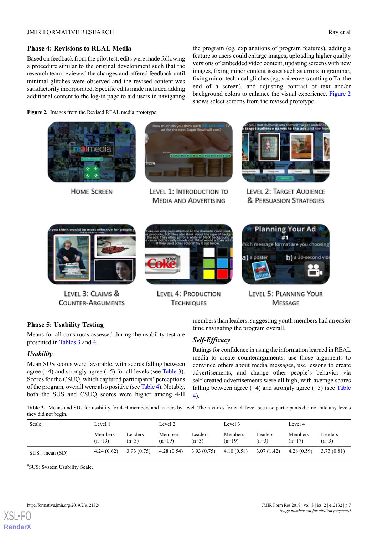#### **JMIR FORMATIVE RESEARCH** Ray et al.

#### **Phase 4: Revisions to REAL Media**

Based on feedback from the pilot test, edits were made following a procedure similar to the original development such that the research team reviewed the changes and offered feedback until minimal glitches were observed and the revised content was satisfactorily incorporated. Specific edits made included adding additional content to the log-in page to aid users in navigating the program (eg, explanations of program features), adding a feature so users could enlarge images, uploading higher quality versions of embedded video content, updating screens with new images, fixing minor content issues such as errors in grammar, fixing minor technical glitches (eg, voiceovers cutting off at the end of a screen), and adjusting contrast of text and/or background colors to enhance the visual experience. [Figure 2](#page-8-0) shows select screens from the revised prototype.

<span id="page-8-0"></span>**Figure 2.** Images from the Revised REAL media prototype.



**HOME SCREEN** 



LEVEL 1: INTRODUCTION TO **MEDIA AND ADVERTISING** 



LEVEL 2: TARGET AUDIENCE & PERSUASION STRATEGIES



LEVEL 3: CLAIMS & **COUNTER-ARGUMENTS** 



LEVEL 4: PRODUCTION **TECHNIQUES** 



LEVEL 5: PLANNING YOUR **MESSAGE** 

#### **Phase 5: Usability Testing**

Means for all constructs assessed during the usability test are presented in [Tables 3](#page-8-1) and [4](#page-9-0).

#### *Usability*

<span id="page-8-1"></span>Mean SUS scores were favorable, with scores falling between agree  $(=4)$  and strongly agree  $(=5)$  for all levels (see [Table 3\)](#page-8-1). Scores for the CSUQ, which captured participants' perceptions of the program, overall were also positive (see [Table 4\)](#page-9-0). Notably, both the SUS and CSUQ scores were higher among 4-H members than leaders, suggesting youth members had an easier time navigating the program overall.

#### *Self-Efficacy*

Ratings for confidence in using the information learned in REAL media to create counterarguments, use those arguments to convince others about media messages, use lessons to create advertisements, and change other people's behavior via self-created advertisements were all high, with average scores falling between agree  $(=4)$  and strongly agree  $(=5)$  (see [Table](#page-9-0) [4\)](#page-9-0).

**Table 3.** Means and SDs for usability for 4-H members and leaders by level. The n varies for each level because participants did not rate any levels they did not begin.

| Scale                | Level 1             |                    | Level 2             |                    | Level 3             |                    | Level 4             |                    |
|----------------------|---------------------|--------------------|---------------------|--------------------|---------------------|--------------------|---------------------|--------------------|
|                      | Members<br>$(n=19)$ | Leaders<br>$(n=3)$ | Members<br>$(n=19)$ | Leaders<br>$(n=3)$ | Members<br>$(n=19)$ | Leaders<br>$(n=3)$ | Members<br>$(n=17)$ | Leaders<br>$(n=3)$ |
| $SUSa$ , mean $(SD)$ | 4.24(0.62)          | 3.93(0.75)         | 4.28(0.54)          | 3.93(0.75)         | 4.10(0.58)          | 3.07(1.42)         | 4.28(0.59)          | 3.73 (0.81)        |

a SUS: System Usability Scale.

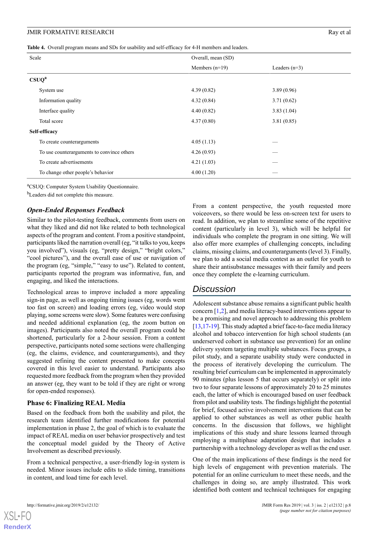<span id="page-9-0"></span>**Table 4.** Overall program means and SDs for usability and self-efficacy for 4-H members and leaders.

| Scale                                      | Overall, mean (SD) |                 |  |
|--------------------------------------------|--------------------|-----------------|--|
|                                            | Members $(n=19)$   | Leaders $(n=3)$ |  |
| CSUQ <sup>a</sup>                          |                    |                 |  |
| System use                                 | 4.39(0.82)         | 3.89(0.96)      |  |
| Information quality                        | 4.32(0.84)         | 3.71(0.62)      |  |
| Interface quality                          | 4.40(0.82)         | 3.83(1.04)      |  |
| Total score                                | 4.37(0.80)         | 3.81(0.85)      |  |
| Self-efficacy                              |                    |                 |  |
| To create counterarguments                 | 4.05(1.13)         |                 |  |
| To use counterarguments to convince others | 4.26(0.93)         |                 |  |
| To create advertisements                   | 4.21(1.03)         |                 |  |
| To change other people's behavior          | 4.00(1.20)         |                 |  |

<sup>a</sup>CSUQ: Computer System Usability Questionnaire.

<sup>b</sup>Leaders did not complete this measure.

#### *Open-Ended Responses Feedback*

Similar to the pilot-testing feedback, comments from users on what they liked and did not like related to both technological aspects of the program and content. From a positive standpoint, participants liked the narration overall (eg, "it talks to you, keeps you involved"), visuals (eg, "pretty design," "bright colors," "cool pictures"), and the overall ease of use or navigation of the program (eg, "simple," "easy to use"). Related to content, participants reported the program was informative, fun, and engaging, and liked the interactions.

Technological areas to improve included a more appealing sign-in page, as well as ongoing timing issues (eg, words went too fast on screen) and loading errors (eg, video would stop playing, some screens were slow). Some features were confusing and needed additional explanation (eg, the zoom button on images). Participants also noted the overall program could be shortened, particularly for a 2-hour session. From a content perspective, participants noted some sections were challenging (eg, the claims, evidence, and counterarguments), and they suggested refining the content presented to make concepts covered in this level easier to understand. Participants also requested more feedback from the program when they provided an answer (eg, they want to be told if they are right or wrong for open-ended responses).

#### **Phase 6: Finalizing REAL Media**

Based on the feedback from both the usability and pilot, the research team identified further modifications for potential implementation in phase 2, the goal of which is to evaluate the impact of REAL media on user behavior prospectively and test the conceptual model guided by the Theory of Active Involvement as described previously.

From a technical perspective, a user-friendly log-in system is needed. Minor issues include edits to slide timing, transitions in content, and load time for each level.

From a content perspective, the youth requested more voiceovers, so there would be less on-screen text for users to read. In addition, we plan to streamline some of the repetitive content (particularly in level 3), which will be helpful for individuals who complete the program in one sitting. We will also offer more examples of challenging concepts, including claims, missing claims, and counterarguments (level 3). Finally, we plan to add a social media contest as an outlet for youth to share their antisubstance messages with their family and peers once they complete the e-learning curriculum.

### *Discussion*

Adolescent substance abuse remains a significant public health concern [[1,](#page-11-0)[2](#page-11-1)], and media literacy-based interventions appear to be a promising and novel approach to addressing this problem [[13,](#page-11-10)[17-](#page-11-14)[19\]](#page-11-16). This study adapted a brief face-to-face media literacy alcohol and tobacco intervention for high school students (an underserved cohort in substance use prevention) for an online delivery system targeting multiple substances. Focus groups, a pilot study, and a separate usability study were conducted in the process of iteratively developing the curriculum. The resulting brief curriculum can be implemented in approximately 90 minutes (plus lesson 5 that occurs separately) or split into two to four separate lessons of approximately 20 to 25 minutes each, the latter of which is encouraged based on user feedback from pilot and usability tests. The findings highlight the potential for brief, focused active involvement interventions that can be applied to other substances as well as other public health concerns. In the discussion that follows, we highlight implications of this study and share lessons learned through employing a multiphase adaptation design that includes a partnership with a technology developer as well as the end user.

One of the main implications of these findings is the need for high levels of engagement with prevention materials. The potential for an online curriculum to meet these needs, and the challenges in doing so, are amply illustrated. This work identified both content and technical techniques for engaging

[XSL](http://www.w3.org/Style/XSL)•FC **[RenderX](http://www.renderx.com/)**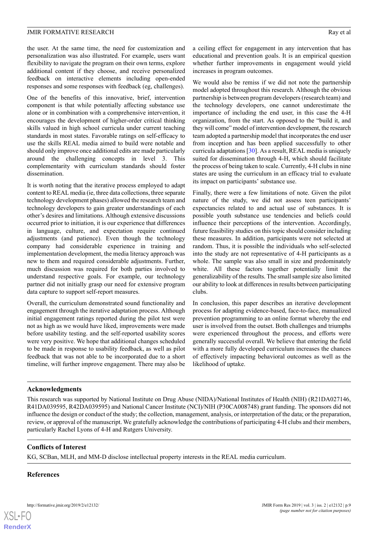the user. At the same time, the need for customization and personalization was also illustrated. For example, users want flexibility to navigate the program on their own terms, explore additional content if they choose, and receive personalized feedback on interactive elements including open-ended responses and some responses with feedback (eg, challenges).

One of the benefits of this innovative, brief, intervention component is that while potentially affecting substance use alone or in combination with a comprehensive intervention, it encourages the development of higher-order critical thinking skills valued in high school curricula under current teaching standards in most states. Favorable ratings on self-efficacy to use the skills REAL media aimed to build were notable and should only improve once additional edits are made particularly around the challenging concepts in level 3. This complementarity with curriculum standards should foster dissemination.

It is worth noting that the iterative process employed to adapt content to REAL media (ie, three data collections, three separate technology development phases) allowed the research team and technology developers to gain greater understandings of each other's desires and limitations. Although extensive discussions occurred prior to initiation, it is our experience that differences in language, culture, and expectation require continued adjustments (and patience). Even though the technology company had considerable experience in training and implementation development, the media literacy approach was new to them and required considerable adjustments. Further, much discussion was required for both parties involved to understand respective goals. For example, our technology partner did not initially grasp our need for extensive program data capture to support self-report measures.

Overall, the curriculum demonstrated sound functionality and engagement through the iterative adaptation process. Although initial engagement ratings reported during the pilot test were not as high as we would have liked, improvements were made before usability testing. and the self-reported usability scores were very positive. We hope that additional changes scheduled to be made in response to usability feedback, as well as pilot feedback that was not able to be incorporated due to a short timeline, will further improve engagement. There may also be

a ceiling effect for engagement in any intervention that has educational and prevention goals. It is an empirical question whether further improvements in engagement would yield increases in program outcomes.

We would also be remiss if we did not note the partnership model adopted throughout this research. Although the obvious partnership is between program developers (research team) and the technology developers, one cannot underestimate the importance of including the end user, in this case the 4-H organization, from the start. As opposed to the "build it, and they will come" model of intervention development, the research team adopted a partnership model that incorporates the end user from inception and has been applied successfully to other curricula adaptations [[30\]](#page-12-6). As a result, REAL media is uniquely suited for dissemination through 4-H, which should facilitate the process of being taken to scale. Currently, 4-H clubs in nine states are using the curriculum in an efficacy trial to evaluate its impact on participants' substance use.

Finally, there were a few limitations of note. Given the pilot nature of the study, we did not assess teen participants' expectancies related to and actual use of substances. It is possible youth substance use tendencies and beliefs could influence their perceptions of the intervention. Accordingly, future feasibility studies on this topic should consider including these measures. In addition, participants were not selected at random. Thus, it is possible the individuals who self-selected into the study are not representative of 4-H participants as a whole. The sample was also small in size and predominately white. All these factors together potentially limit the generalizability of the results. The small sample size also limited our ability to look at differences in results between participating clubs.

In conclusion, this paper describes an iterative development process for adapting evidence-based, face-to-face, manualized prevention programming to an online format whereby the end user is involved from the outset. Both challenges and triumphs were experienced throughout the process, and efforts were generally successful overall. We believe that entering the field with a more fully developed curriculum increases the chances of effectively impacting behavioral outcomes as well as the likelihood of uptake.

#### **Acknowledgments**

This research was supported by National Institute on Drug Abuse (NIDA)/National Institutes of Health (NIH) (R21DA027146, R41DA039595, R42DA039595) and National Cancer Institute (NCI)/NIH (P30CA008748) grant funding. The sponsors did not influence the design or conduct of the study; the collection, management, analysis, or interpretation of the data; or the preparation, review, or approval of the manuscript. We gratefully acknowledge the contributions of participating 4-H clubs and their members, particularly Rachel Lyons of 4-H and Rutgers University.

#### **Conflicts of Interest**

KG, SCBan, MLH, and MM-D disclose intellectual property interests in the REAL media curriculum.

#### **References**

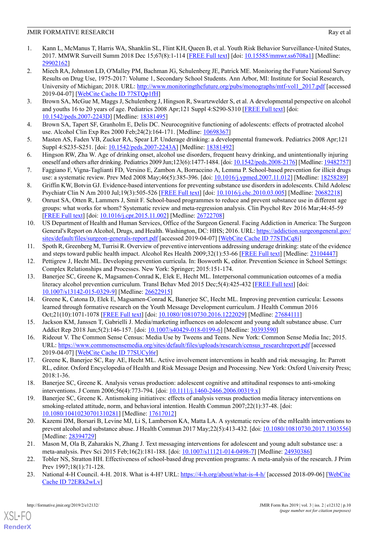- <span id="page-11-0"></span>1. Kann L, McManus T, Harris WA, Shanklin SL, Flint KH, Queen B, et al. Youth Risk Behavior Surveillance-United States, 2017. MMWR Surveill Summ 2018 Dec 15;67(8):1-114 [[FREE Full text](http://europepmc.org/abstract/MED/29902162)] [doi: [10.15585/mmwr.ss6708a1\]](http://dx.doi.org/10.15585/mmwr.ss6708a1) [Medline: [29902162](http://www.ncbi.nlm.nih.gov/entrez/query.fcgi?cmd=Retrieve&db=PubMed&list_uids=29902162&dopt=Abstract)]
- <span id="page-11-1"></span>2. Miech RA, Johnston LD, O'Malley PM, Bachman JG, Schulenberg JE, Patrick ME. Monitoring the Future National Survey Results on Drug Use, 1975-2017: Volume 1, Secondary School Students. Ann Arbor, MI: Institute for Social Research, University of Michigan; 2018. URL: [http://www.monitoringthefuture.org/pubs/monographs/mtf-vol1\\_2017.pdf](http://www.monitoringthefuture.org/pubs/monographs/mtf-vol1_2017.pdf) [accessed 2019-04-07] [\[WebCite Cache ID 77STQp1fH\]](http://www.webcitation.org/77STQp1fH)
- <span id="page-11-2"></span>3. Brown SA, McGue M, Maggs J, Schulenberg J, Hingson R, Swartzwelder S, et al. A developmental perspective on alcohol and youths 16 to 20 years of age. Pediatrics 2008 Apr;121 Suppl 4:S290-S310 [\[FREE Full text\]](http://europepmc.org/abstract/MED/18381495) [doi: [10.1542/peds.2007-2243D](http://dx.doi.org/10.1542/peds.2007-2243D)] [Medline: [18381495\]](http://www.ncbi.nlm.nih.gov/entrez/query.fcgi?cmd=Retrieve&db=PubMed&list_uids=18381495&dopt=Abstract)
- <span id="page-11-3"></span>4. Brown SA, Tapert SF, Granholm E, Delis DC. Neurocognitive functioning of adolescents: effects of protracted alcohol use. Alcohol Clin Exp Res 2000 Feb;24(2):164-171. [Medline: [10698367](http://www.ncbi.nlm.nih.gov/entrez/query.fcgi?cmd=Retrieve&db=PubMed&list_uids=10698367&dopt=Abstract)]
- <span id="page-11-4"></span>5. Masten AS, Faden VB, Zucker RA, Spear LP. Underage drinking: a developmental framework. Pediatrics 2008 Apr;121 Suppl 4:S235-S251. [doi: [10.1542/peds.2007-2243A\]](http://dx.doi.org/10.1542/peds.2007-2243A) [Medline: [18381492](http://www.ncbi.nlm.nih.gov/entrez/query.fcgi?cmd=Retrieve&db=PubMed&list_uids=18381492&dopt=Abstract)]
- <span id="page-11-5"></span>6. Hingson RW, Zha W. Age of drinking onset, alcohol use disorders, frequent heavy drinking, and unintentionally injuring oneself and others after drinking. Pediatrics 2009 Jun;123(6):1477-1484. [doi: [10.1542/peds.2008-2176](http://dx.doi.org/10.1542/peds.2008-2176)] [Medline: [19482757\]](http://www.ncbi.nlm.nih.gov/entrez/query.fcgi?cmd=Retrieve&db=PubMed&list_uids=19482757&dopt=Abstract)
- 7. Faggiano F, Vigna-Taglianti FD, Versino E, Zambon A, Borraccino A, Lemma P. School-based prevention for illicit drugs use: a systematic review. Prev Med 2008 May;46(5):385-396. [doi: [10.1016/j.ypmed.2007.11.012\]](http://dx.doi.org/10.1016/j.ypmed.2007.11.012) [Medline: [18258289](http://www.ncbi.nlm.nih.gov/entrez/query.fcgi?cmd=Retrieve&db=PubMed&list_uids=18258289&dopt=Abstract)]
- <span id="page-11-6"></span>8. Griffin KW, Botvin GJ. Evidence-based interventions for preventing substance use disorders in adolescents. Child Adolesc Psychiatr Clin N Am 2010 Jul;19(3):505-526 [[FREE Full text](http://europepmc.org/abstract/MED/20682218)] [doi: [10.1016/j.chc.2010.03.005](http://dx.doi.org/10.1016/j.chc.2010.03.005)] [Medline: [20682218\]](http://www.ncbi.nlm.nih.gov/entrez/query.fcgi?cmd=Retrieve&db=PubMed&list_uids=20682218&dopt=Abstract)
- <span id="page-11-7"></span>9. Onrust SA, Otten R, Lammers J, Smit F. School-based programmes to reduce and prevent substance use in different age groups: what works for whom? Systematic review and meta-regression analysis. Clin Psychol Rev 2016 Mar;44:45-59 [[FREE Full text](https://linkinghub.elsevier.com/retrieve/pii/S0272-7358(15)00152-X)] [doi: [10.1016/j.cpr.2015.11.002](http://dx.doi.org/10.1016/j.cpr.2015.11.002)] [Medline: [26722708](http://www.ncbi.nlm.nih.gov/entrez/query.fcgi?cmd=Retrieve&db=PubMed&list_uids=26722708&dopt=Abstract)]
- <span id="page-11-8"></span>10. US Department of Health and Human Services, Office of the Surgeon General. Facing Addiction in America: The Surgeon General's Report on Alcohol, Drugs, and Health. Washington, DC: HHS; 2016. URL: [https://addiction.surgeongeneral.gov/](https://addiction.surgeongeneral.gov/sites/default/files/surgeon-generals-report.pdf) [sites/default/files/surgeon-generals-report.pdf](https://addiction.surgeongeneral.gov/sites/default/files/surgeon-generals-report.pdf) [accessed 2019-04-07] [[WebCite Cache ID 77SThCq8i\]](http://www.webcitation.org/77SThCq8i)
- <span id="page-11-10"></span><span id="page-11-9"></span>11. Spoth R, Greenberg M, Turrisi R. Overview of preventive interventions addressing underage drinking: state of the evidence and steps toward public health impact. Alcohol Res Health 2009;32(1):53-66 [\[FREE Full text\]](http://europepmc.org/abstract/MED/23104447) [Medline: [23104447\]](http://www.ncbi.nlm.nih.gov/entrez/query.fcgi?cmd=Retrieve&db=PubMed&list_uids=23104447&dopt=Abstract)
- 12. Pettigrew J, Hecht ML. Developing prevention curricula. In: Bosworth K, editor. Prevention Science in School Settings: Complex Relationships and Processes. New York: Springer; 2015:151-174.
- <span id="page-11-11"></span>13. Banerjee SC, Greene K, Magsamen-Conrad K, Elek E, Hecht ML. Interpersonal communication outcomes of a media literacy alcohol prevention curriculum. Transl Behav Med 2015 Dec;5(4):425-432 [\[FREE Full text\]](http://europepmc.org/abstract/MED/26622915) [doi: [10.1007/s13142-015-0329-9\]](http://dx.doi.org/10.1007/s13142-015-0329-9) [Medline: [26622915](http://www.ncbi.nlm.nih.gov/entrez/query.fcgi?cmd=Retrieve&db=PubMed&list_uids=26622915&dopt=Abstract)]
- <span id="page-11-13"></span><span id="page-11-12"></span>14. Greene K, Catona D, Elek E, Magsamen-Conrad K, Banerjee SC, Hecht ML. Improving prevention curricula: Lessons learned through formative research on the Youth Message Development curriculum. J Health Commun 2016 Oct;21(10):1071-1078 [\[FREE Full text\]](http://europepmc.org/abstract/MED/27684111) [doi: [10.1080/10810730.2016.1222029](http://dx.doi.org/10.1080/10810730.2016.1222029)] [Medline: [27684111](http://www.ncbi.nlm.nih.gov/entrez/query.fcgi?cmd=Retrieve&db=PubMed&list_uids=27684111&dopt=Abstract)]
- <span id="page-11-14"></span>15. Jackson KM, Janssen T, Gabrielli J. Media/marketing influences on adolescent and young adult substance abuse. Curr Addict Rep 2018 Jun;5(2):146-157. [doi: [10.1007/s40429-018-0199-6](http://dx.doi.org/10.1007/s40429-018-0199-6)] [Medline: [30393590\]](http://www.ncbi.nlm.nih.gov/entrez/query.fcgi?cmd=Retrieve&db=PubMed&list_uids=30393590&dopt=Abstract)
- <span id="page-11-15"></span>16. Rideout V. The Common Sense Census: Media Use by Tweens and Teens. New York: Common Sense Media Inc; 2015. URL: [https://www.commonsensemedia.org/sites/default/files/uploads/research/census\\_researchreport.pdf](https://www.commonsensemedia.org/sites/default/files/uploads/research/census_researchreport.pdf) [accessed 2019-04-07] [\[WebCite Cache ID 77SUCyl6r\]](http://www.webcitation.org/77SUCyl6r)
- <span id="page-11-16"></span>17. Greene K, Banerjee SC, Ray AE, Hecht ML. Active involvement interventions in health and risk messaging. In: Parrott RL, editor. Oxford Encyclopedia of Health and Risk Message Design and Processing. New York: Oxford University Press; 2018:1-36.
- <span id="page-11-17"></span>18. Banerjee SC, Greene K. Analysis versus production: adolescent cognitive and attitudinal responses to anti-smoking interventions. J Comm 2006;56(4):773-794. [doi: [10.1111/j.1460-2466.2006.00319.x\]](http://dx.doi.org/10.1111/j.1460-2466.2006.00319.x)
- <span id="page-11-18"></span>19. Banerjee SC, Greene K. Antismoking initiatives: effects of analysis versus production media literacy interventions on smoking-related attitude, norm, and behavioral intention. Health Commun 2007;22(1):37-48. [doi: [10.1080/10410230701310281\]](http://dx.doi.org/10.1080/10410230701310281) [Medline: [17617012](http://www.ncbi.nlm.nih.gov/entrez/query.fcgi?cmd=Retrieve&db=PubMed&list_uids=17617012&dopt=Abstract)]
- <span id="page-11-20"></span><span id="page-11-19"></span>20. Kazemi DM, Borsari B, Levine MJ, Li S, Lamberson KA, Matta LA. A systematic review of the mHealth interventions to prevent alcohol and substance abuse. J Health Commun 2017 May;22(5):413-432. [doi: [10.1080/10810730.2017.1303556](http://dx.doi.org/10.1080/10810730.2017.1303556)] [Medline: [28394729](http://www.ncbi.nlm.nih.gov/entrez/query.fcgi?cmd=Retrieve&db=PubMed&list_uids=28394729&dopt=Abstract)]
- 21. Mason M, Ola B, Zaharakis N, Zhang J. Text messaging interventions for adolescent and young adult substance use: a meta-analysis. Prev Sci 2015 Feb;16(2):181-188. [doi: [10.1007/s11121-014-0498-7](http://dx.doi.org/10.1007/s11121-014-0498-7)] [Medline: [24930386](http://www.ncbi.nlm.nih.gov/entrez/query.fcgi?cmd=Retrieve&db=PubMed&list_uids=24930386&dopt=Abstract)]
- 22. Tobler NS, Stratton HH. Effectiveness of school-based drug prevention programs: A meta-analysis of the research. J Prim Prev 1997;18(1):71-128.
- 23. National 4-H Council. 4-H. 2018. What is 4-H? URL: <https://4-h.org/about/what-is-4-h/> [accessed 2018-09-06] [\[WebCite](http://www.webcitation.org/72ERk2wLv) [Cache ID 72ERk2wLv](http://www.webcitation.org/72ERk2wLv)]

[XSL](http://www.w3.org/Style/XSL)•FO **[RenderX](http://www.renderx.com/)**